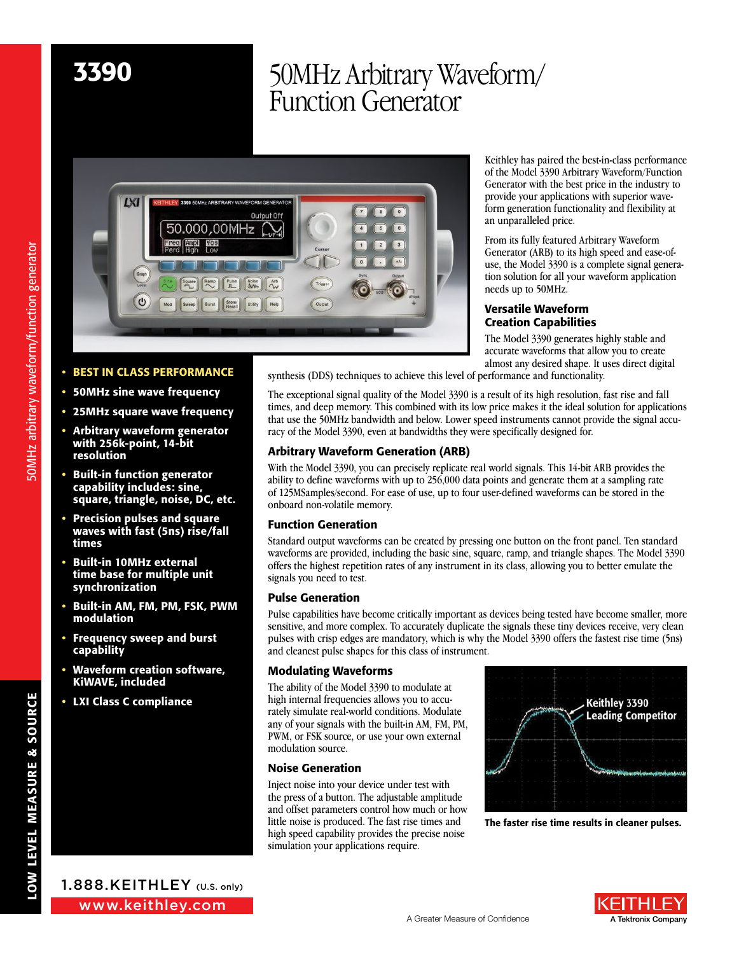# 3390 50MHz Arbitrary Waveform/ Function Generator

 $\overline{\cdot}$  $\sqrt{9}$ 50.000,00MHz  $\epsilon$  $\overline{5}$  $\sqrt{3}$  $\overline{\mathcal{C}}$ 

Keithley has paired the best-in-class performance of the Model 3390 Arbitrary Waveform/Function Generator with the best price in the industry to provide your applications with superior waveform generation functionality and flexibility at an unparalleled price.

From its fully featured Arbitrary Waveform Generator (ARB) to its high speed and ease-ofuse, the Model 3390 is a complete signal generation solution for all your waveform application needs up to 50MHz.

## Versatile Waveform Creation Capabilities

The Model 3390 generates highly stable and accurate waveforms that allow you to create almost any desired shape. It uses direct digital synthesis (DDS) techniques to achieve this level of performance and functionality.

The exceptional signal quality of the Model 3390 is a result of its high resolution, fast rise and fall times, and deep memory. This combined with its low price makes it the ideal solution for applications that use the 50MHz bandwidth and below. Lower speed instruments cannot provide the signal accuracy of the Model 3390, even at bandwidths they were specifically designed for.

# **Arbitrary Waveform Generation (ARB)**

With the Model 3390, you can precisely replicate real world signals. This 14-bit ARB provides the ability to define waveforms with up to 256,000 data points and generate them at a sampling rate of 125MSamples/second. For ease of use, up to four user-defined waveforms can be stored in the onboard non-volatile memory.

# Function Generation

Standard output waveforms can be created by pressing one button on the front panel. Ten standard waveforms are provided, including the basic sine, square, ramp, and triangle shapes. The Model 3390 offers the highest repetition rates of any instrument in its class, allowing you to better emulate the signals you need to test.

# Pulse Generation

Pulse capabilities have become critically important as devices being tested have become smaller, more sensitive, and more complex. To accurately duplicate the signals these tiny devices receive, very clean pulses with crisp edges are mandatory, which is why the Model 3390 offers the fastest rise time (5ns) and cleanest pulse shapes for this class of instrument.

# Modulating Waveforms

The ability of the Model 3390 to modulate at high internal frequencies allows you to accurately simulate real-world conditions. Modulate any of your signals with the built-in AM, FM, PM, PWM, or FSK source, or use your own external modulation source.

## Noise Generation

Inject noise into your device under test with the press of a button. The adjustable amplitude and offset parameters control how much or how little noise is produced. The fast rise times and high speed capability provides the precise noise simulation your applications require.



The faster rise time results in cleaner pulses.

# • BEST IN CLASS PERFORMANCE

- 50MHz sine wave frequency
- 25MHz square wave frequency
- Arbitrary waveform generator with 256k-point, 14-bit resolution
- **Built-in function generator** capability includes: sine, square, triangle, noise, DC, etc.
- Precision pulses and square waves with fast (5ns) rise/fall times
- Built-in 10MHz external time base for multiple unit synchronization
- Built-in AM, FM, PM, FSK, PWM modulation
- Frequency sweep and burst capability
- Waveform creation software, KiWAVE, included
- **LXI Class C compliance**





50MHz arbitrary waveform/function generator 50MHz arbitrary waveform/function generator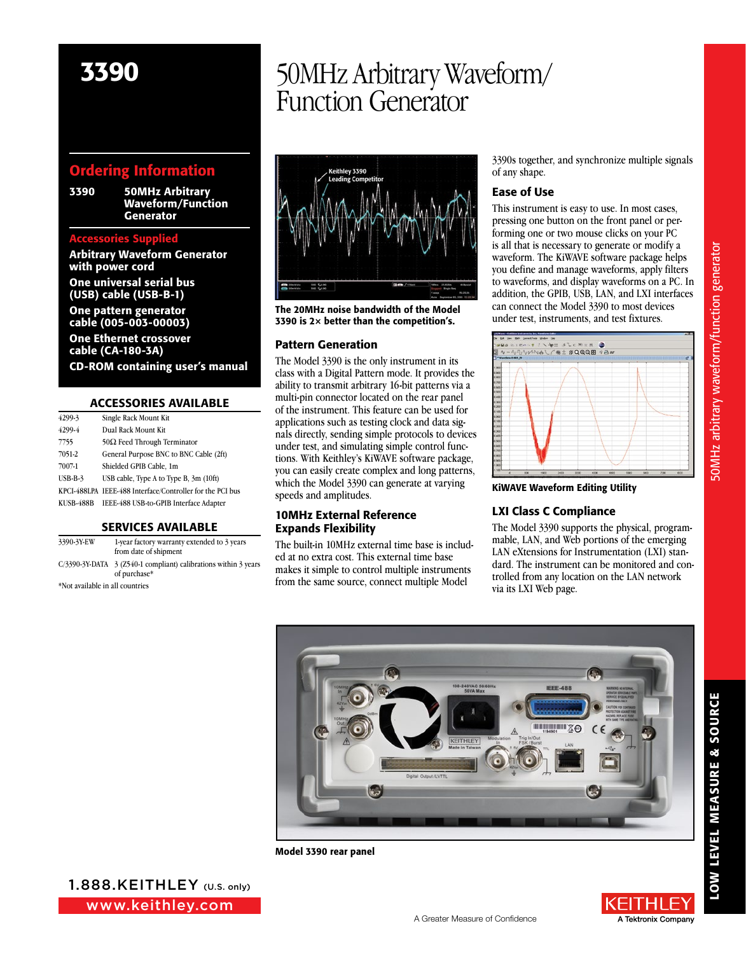# Ordering Information

3390 50MHz Arbitrary Waveform/Function **Generator** 

### Accessories Supplied

Arbitrary Waveform Generator with power cord

One universal serial bus (USB) cable (USB-B-1)

One pattern generator

cable (005-003-00003) One Ethernet crossover

cable (CA-180-3A) CD-ROM containing user's manual

### **ACCESSORIES AVAILABLE**

| 4299-3    | Single Rack Mount Kit                                     |
|-----------|-----------------------------------------------------------|
| 4299-4    | Dual Rack Mount Kit                                       |
| 7755      | $50\Omega$ Feed Through Terminator                        |
| 7051-2    | General Purpose BNC to BNC Cable (2ft)                    |
| 7007-1    | Shielded GPIB Cable, 1m                                   |
| $UBB-B-3$ | USB cable, Type A to Type B, 3m (10ft)                    |
|           | KPCI-488LPA IEEE-488 Interface/Controller for the PCI bus |
| KUSB-488B | IEEE-488 USB-to-GPIB Interface Adapter                    |
|           |                                                           |

### Services Available

| 3390-3Y-EW                      | 1-year factory warranty extended to 3 years<br>from date of shipment            |
|---------------------------------|---------------------------------------------------------------------------------|
|                                 | C/3390-3Y-DATA 3 (Z540-1 compliant) calibrations within 3 years<br>of purchase* |
| *Not available in all countries |                                                                                 |

# 3390 50MHz Arbitrary Waveform/ Function Generator



The 20MHz noise bandwidth of the Model 3390 is  $2\times$  better than the competition's.

### Pattern Generation

The Model 3390 is the only instrument in its class with a Digital Pattern mode. It provides the ability to transmit arbitrary 16-bit patterns via a multi-pin connector located on the rear panel of the instrument. This feature can be used for applications such as testing clock and data signals directly, sending simple protocols to devices under test, and simulating simple control functions. With Keithley's KiWAVE software package, you can easily create complex and long patterns, which the Model 3390 can generate at varying speeds and amplitudes.

# 10MHz External Reference Expands Flexibility

The built-in 10MHz external time base is included at no extra cost. This external time base makes it simple to control multiple instruments from the same source, connect multiple Model

3390s together, and synchronize multiple signals of any shape.

## Ease of Use

This instrument is easy to use. In most cases, pressing one button on the front panel or performing one or two mouse clicks on your PC is all that is necessary to generate or modify a waveform. The KiWAVE software package helps you define and manage waveforms, apply filters to waveforms, and display waveforms on a PC. In addition, the GPIB, USB, LAN, and LXI interfaces can connect the Model 3390 to most devices under test, instruments, and test fixtures.



KiWAVE Waveform Editing Utility

# LXI Class C Compliance

The Model 3390 supports the physical, programmable, LAN, and Web portions of the emerging LAN eXtensions for Instrumentation (LXI) standard. The instrument can be monitored and controlled from any location on the LAN network via its LXI Web page.



Model 3390 rear panel





LOW LEVEL MEASURE & SOURCE

LOW LEVEL MEASURE & SOURCE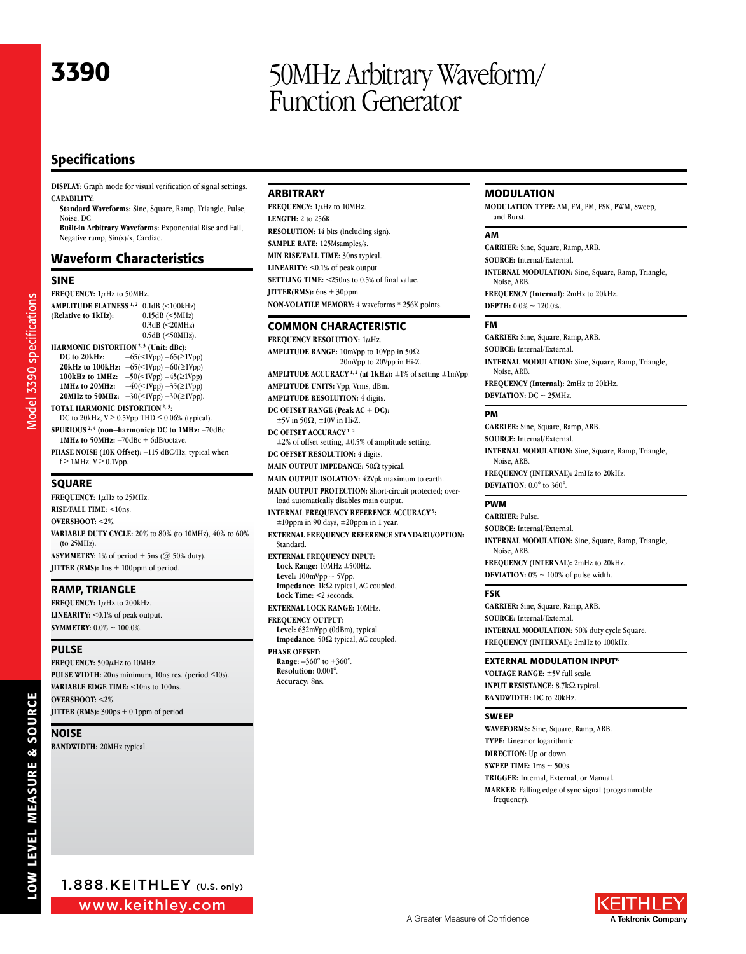# 3390 50MHz Arbitrary Waveform/ Function Generator

# Specifications

**DISPLAY:** Graph mode for visual verification of signal settings. **CAPABILITY:**

**Standard Waveforms:** Sine, Square, Ramp, Triangle, Pulse, Noise, DC.

**Built-in Arbitrary Waveforms:** Exponential Rise and Fall, Negative ramp, Sin(x)/x, Cardiac.

# Waveform Characteristics

#### **SINE**

Model 3390 specifications Model 3390 specifications **FREQUENCY:** 1µHz to 50MHz. **AMPLITUDE FLATNESS**<sup>1,2</sup> 0.1dB (<100kHz)<br>(**Relative to 1kHz**): 0.15dB (<5MHz) **(Relative to 1kHz):** 0.3dB (<20MHz) 0.5dB (<50MHz). **HARMONIC DISTORTION** <sup>2, 3</sup> (Unit: dBc):<br>DC to 20kHz:  $-65 \le \text{1VDD} -65 \le 1$ **DC to 20kHz:** –65(<1Vpp) –65(≥1Vpp) **20kHz to 100kHz:**  $-65 \times 1Vpp$ )  $-60 \times 1Vpp$ ) **100kHz to 1MHz:** –50(<1Vpp) –45(≥1Vpp) **1MHz to 20MHz:** –40(<1Vpp) –35(≥1Vpp) **20MHz to 50MHz:** –30(<1Vpp) –30(≥1Vpp). **Total harmonic distortion 2, 3:**

DC to 20kHz,  $V \ge 0.5V$ pp THD  $\le 0.06\%$  (typical). **Spurious 2, 4 (non–harmonic): DC to 1MHz:** –70dBc.

**1MHz to 50MHz:**  $-70$ dBc + 6dB/octave.

**Phase Noise (10K Offset):** –115 dBC/Hz, typical when  $f \ge 1$ MHz,  $V \ge 0.1$ Vpp.

#### **SQUARE**

**FREQUENCY:** 1µHz to 25MHz. **Rise /Fall time :** <10ns. **Overshoot :** <2%. **VARIABLE DUTY CYCLE:** 20% to 80% (to 10MHz), 40% to 60% (to 25MHz). **ASYMMETRY:** 1% of period  $+$  5ns ( $@$  50% duty). **JITTER** (RMS): 1ns + 100ppm of period.

#### Ramp, Triangle

**FREQUENCY:**  $1\mu$ Hz to 200kHz. **LINEARITY:** <0.1% of peak output. **SYMMETRY:**  $0.0\% \sim 100.0\%$ .

#### Pulse

**FREQUENCY:** 500µHz to 10MHz. **PULSE WIDTH:** 20ns minimum, 10ns res. (period ≤10s). **Variable Edge Time :** <10ns to 100ns. **Overshoot :** <2%. **JITTER** (RMS): 300ps + 0.1ppm of period.

#### Noise

**BANDWIDTH: 20MHz typical.** 

#### **ARBITRARY**

**Accuracy:** 8ns.

**FREQUENCY:** 1µHz to 10MHz. **LENGTH: 2 to 256K. RESOLUTION:** 14 bits (including sign). **Sample Rate :** 125Msamples/s. **MIN RISE/FALL TIME:** 30ns typical. **LINEARITY:** <0.1% of peak output. **SETTLING TIME:** <250ns to 0.5% of final value. **JITTER(RMS):**  $6ns + 30ppm$ . **Non -volatile Memor y:** 4 waveforms \* 256K points.

#### **COMMON CHARACTERISTIC**

**FREQUENCY RESOLUTION: 1µHz. AMPLITUDE RANGE:** 10mVpp to 10Vpp in 50Ω 20mVpp to 20Vpp in Hi-Z. **Amplitude Accuracy 1, 2 (at 1kHz):** ±1% of setting ±1mVpp. **Amplitude Units :** Vpp, Vrms, dBm. **Amplitude Resolution :** 4 digits. **DC Offset Range (Peak AC + DC):**  $±5V$  in 50 $\Omega$ ,  $±10V$  in Hi-Z. **DC Offset Accuracy 1, 2**  $\pm 2\%$  of offset setting,  $\pm 0.5\%$  of amplitude setting. **DC OFFSET RESOLUTION: 4 digits. MAIN OUTPUT IMPEDANCE: 50Ω typical. Main Output Isolation :** 42Vpk maximum to earth. **MAIN OUTPUT PROTECTION:** Short-circuit protected; overload automatically disables main output. **INTERNAL FREQUENCY REFERENCE ACCURACY<sup>5</sup>:**  $±10$ ppm in 90 days,  $±20$ ppm in 1 year. **External Frequenc y reference Standard /Option :** Standard. **EXTERNAL FREQUENCY INPUT: Lock Range:** 10MHz ±500Hz. Level:  $100mVpp \sim 5Vpp$ . **Impedance:** 1kΩ typical, AC coupled. **Lock Time:** <2 seconds. **EXTERNAL LOCK RANGE: 10MHz. FREQUENCY OUTPUT: Level:** 632mVpp (0dBm), typical. **Impedance**: 50Ω typical, AC coupled. **Phase Offset : Range:** –360° to +360°. **Resolution:** 0.001°.

#### **MODULATION**

**MODULATION TYPE:** AM, FM, PM, FSK, PWM, Sweep, and Burst.

#### AM

**Carrier :** Sine, Square, Ramp, ARB. **SOURCE**: Internal/External **INTERNAL MODULATION:** Sine, Square, Ramp, Triangle, Noise, ARB. **Frequenc y (Internal):** 2mHz to 20kHz. **DEPTH:**  $0.0\% \sim 120.0\%$ .

#### FM

**Carrier :** Sine, Square, Ramp, ARB. **SOURCE**: Internal/External **INTERNAL MODULATION:** Sine, Square, Ramp, Triangle, Noise, ARB. **Frequenc y (Internal):** 2mHz to 20kHz. **DEVIATION:**  $DC \sim 25MHz$ .

#### PM

**Carrier :** Sine, Square, Ramp, ARB. **Source :** Internal/External. **INTERNAL MODULATION:** Sine, Square, Ramp, Triangle, Noise, ARB. **Frequenc y (Internal ):** 2mHz to 20kHz. **DEVIATION:** 0.0° to 360°.

#### PWM

**Carrier :** Pulse. **SOURCE**: Internal/External. **INTERNAL MODULATION:** Sine, Square, Ramp, Triangle, Noise, ARB. **Frequenc y (Internal ):** 2mHz to 20kHz. **DEVIATION:**  $0\% \sim 100\%$  of pulse width.

#### FSK

**Carrier :** Sine, Square, Ramp, ARB. **SOURCE**: Internal/External **INTERNAL MODULATION: 50% duty cycle Square. Frequenc y (Internal ):** 2mHz to 100kHz.

#### **EXTERNAL MODULATION INPUT<sup>6</sup>**

**Voltage Range :** ±5V full scale. **INPUT RESISTANCE:** 8.7kΩ typical. **BANDWIDTH: DC to 20kHz.** 

#### SWEEP

**Waveforms :** Sine, Square, Ramp, ARB. **TYPE:** Linear or logarithmic. **DIRECTION:** Up or down. **SWEEP TIME:**  $1 \text{ms} \sim 500 \text{s}$ . **Trigger :** Internal, External, or Manual. **Marker :** Falling edge of sync signal (programmable frequency).

www.keithley.com 1.888.KEITHLEY (U.S. only)